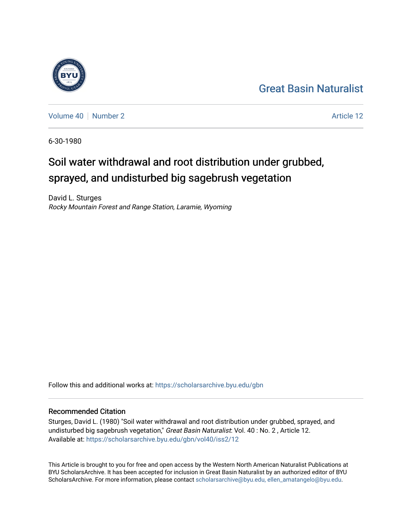## [Great Basin Naturalist](https://scholarsarchive.byu.edu/gbn)

[Volume 40](https://scholarsarchive.byu.edu/gbn/vol40) [Number 2](https://scholarsarchive.byu.edu/gbn/vol40/iss2) Article 12

6-30-1980

# Soil water withdrawal and root distribution under grubbed, sprayed, and undisturbed big sagebrush vegetation

David L. Sturges Rocky Mountain Forest and Range Station, Laramie, Wyoming

Follow this and additional works at: [https://scholarsarchive.byu.edu/gbn](https://scholarsarchive.byu.edu/gbn?utm_source=scholarsarchive.byu.edu%2Fgbn%2Fvol40%2Fiss2%2F12&utm_medium=PDF&utm_campaign=PDFCoverPages) 

## Recommended Citation

Sturges, David L. (1980) "Soil water withdrawal and root distribution under grubbed, sprayed, and undisturbed big sagebrush vegetation," Great Basin Naturalist: Vol. 40: No. 2, Article 12. Available at: [https://scholarsarchive.byu.edu/gbn/vol40/iss2/12](https://scholarsarchive.byu.edu/gbn/vol40/iss2/12?utm_source=scholarsarchive.byu.edu%2Fgbn%2Fvol40%2Fiss2%2F12&utm_medium=PDF&utm_campaign=PDFCoverPages) 

This Article is brought to you for free and open access by the Western North American Naturalist Publications at BYU ScholarsArchive. It has been accepted for inclusion in Great Basin Naturalist by an authorized editor of BYU ScholarsArchive. For more information, please contact [scholarsarchive@byu.edu, ellen\\_amatangelo@byu.edu.](mailto:scholarsarchive@byu.edu,%20ellen_amatangelo@byu.edu)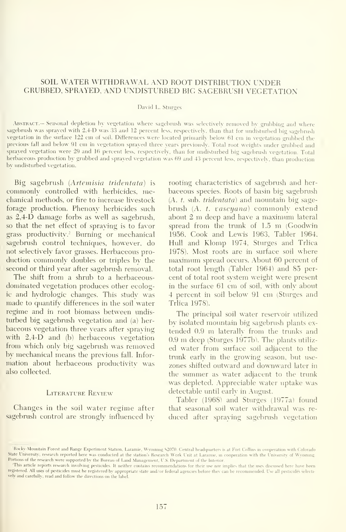## SOIL WATER WITHDRAWAL AND ROOT DISTRIBUTION UNDER GRUBBED, SPRAYED, AND UNDISTURBED BIG SAGEBRUSH VEGETATION

## David L. Sturges

Abstract.— Seasonal depletion by vegetation where sagebrush was selectively removed by grubbing and where sagebrush was sprayed with 2,4-D was 33 and 12 percent less, respectively, than that for undisturbed big sagebrush vegetation in the surface 122 cm of soil. Differences were located primarily below 61 cm in vegetation grubbed the previous fall and below <sup>91</sup> cm in vegetation sprayed three years previously. Total root weights under gnibbed and sprayed vegetation were 29 and 16 percent less, respectively, than for unclisturbed big sagebrush vegetation. Total herbaceous production by grubbed and sprayed vegetation was 69 and 43 percent less, respectiveh, than production by undisturbed vegetation.

Big sagebrush [Artemisia tridentata) is commonly controlled with herbicides, mechanical methods, or fire to increase livestock forage production. Phenoxy herbicides such as 2,4-D damage forbs as well as sagebrush, so that the net effect of spraying is to favor grass productivity.<sup>2</sup> Burning or mechanical sagebrush control techniques, however, do not selectively favor grasses. Herbaceous pro duction commonly doubles or triples bv the second or third year after sagebrush removal.

The shift from a shrub to a herbaceousdominated vegetation produces other ecologic and hydrologic changes. This studv was made to quantify differences in the soil water regime and in root biomass between undis turbed big sagebnish vegetation and (a) her baceous vegetation three years after spraying with 2,4-D and (b) herbaceous vegetation from which only big sagebnish was removed by mechanical means the previous fall. Infor mation about herbaceous productivity was also collected.

## LITERATURE REVIEW

Ghanges in the soil water regime after sagebrush control are strongly influenced by rooting characteristics of sagebrush and herbaceous species. Roots of basin big sagebnish  $(A. t. sub. tridentata)$  and mountain big sagebrush (A. t. vaseyana) commonly extend about <sup>2</sup> m deep and have <sup>a</sup> maximum lateral spread from the trunk of 1.5 m (Goodwin 1956, Cook and Lewis 1963, Tabler 1964, Hull and Klomp 1974, Sturges and Trlica 1978). Most roots are in surface soil where maximum spread occurs. About 60 percent of total root length (Tabler 1964) and 85 per cent of total root system weight were present in the surface 61 cm of soil, with only about <sup>4</sup> percent in soil below 91 cm (Sturges and Trlica 1978).

The principal soil water reservoir utilized by isolated mountain big sagebnish plants ex tended 0.9 m laterally from the trunks and 0.9 m deep (Sturges 1977b). The plants utilized water from surface soil adjacent to the trunk early in the growing season, but use zones shifted outward and downward later in the summer as water adjacent to the trunk was depleted. Appreciable water uptake was detectable until early in August.

Tabler (1968) and Sturges (1977a) found that seasonal soil water withdrawal was re duced after spraying sagebnish vegetation

Rocky Mountain Forest and Range Experiment Station, Laramie, Wyoming \$2070. Central headquarters is at Fort Collins in conperation with Colorado State University; research reported here was conducted at the station's Research Work Unit at Laramie, in cooperation with the University of Wyoming. Portions of the research were supported by the Bureau of Land Management, U.S. Department of the Interior.

This article reports research involving pesticides. It neither contains recommendations for their use nor implies that the uses discussed here have been registered. All uses of pesticides must he registered by appropriate state and/or federal agencies before they can be recommended. Use all pesticides selectively and carefullv, read and follow the directions on the label.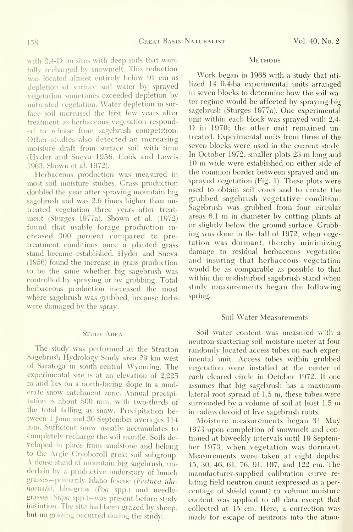with 2.4-D on sites with deep soils that were fully recharged by snowmelt. This reduction was located almost entirely below 91 cm as depletion of surface soil water by sprayed vegetation sometimes exceeded depletion by untreated vegetation. Water depletion in sur treatment as herbaceous vegetation responded to release from sagebrush competition. Other studies also detected an increasing moisture draft from surface soil with time (Hyder and Sneva 1956, Cook and Lewis 1963, Shown et al. 1972).

Herbaceous production was measured in most soil moisture studies. Grass production doubled the year after spraying mountain big sagebrush and was 2.6 times higher than untreated vegetation three years after treat ment (Sturges 1977a). Shown et al. (1972) found that usable forage production in creased 300 percent compared to pre treatment conditions once a planted grass stand became established. Hyder and Sneva (1956) found the increase in grass production to be the same whether big sagebrush was controlled by spraying or by grubbing. Total herbaceous production increased the most where sagebrush was grubbed, because forbs were damaged by the spray.

## STUDY AREA

The study was performed at the Stratton Sagebnish Hydrology Study area 29 km west of Saratoga in south-central Wyoming. The experimental site is at an elevation of 2,225 m and lies on a north-facing slope in a moderate snow catchment zone. Annual precipitation is about 500 mm, with two-thirds of the total falling as snow. Precipitation be tween <sup>1</sup> June and <sup>30</sup> September averages <sup>114</sup> mm. Sufficient snow usually accumulates to completely recharge the soil mantle. Soils de veloped in place from sandstone and belong to the Argic Cryoboroll great soil subgroup. A dense stand of mountain big sagebrush, underlain by <sup>a</sup> productive understory of bunch grasses-primarily Idaho fescue (Festuca idahoensis), bluegrass (Poa spp.) and needlegrasses {Stipa spp.)-was present before study initiation. The site had been grazed by sheep, but no grazing occurred during the study.

## **METHODS**

face soil increased the first few years after sagebrush (Sturges 1977a). One experimental<br>treatment as berbaceous vegetation respond- unit within each block was sprayed with  $2,4$ -Work began in 1968 with <sup>a</sup> study that uti lized 14 0.4-ha experimental units arranged in seven blocks to determine how the soil water regime would be affected by spraying big sagebnish (Sturges 1977a). One experimental D in 1970; the other unit remained untreated. Experimental units from three of the seven blocks were used in the current study. In October 1972, smaller plots <sup>23</sup> m long and <sup>10</sup> m wide were established on either side of the common border between sprayed and un sprayed vegetation (Fig. 1). These plots were used to obtain soil cores and to create the grubbed sagebrush vegetative condition. Sagebrush was grubbed from four circular areas 6.1 m in diameter by cutting plants at or slightly below the ground surface. Grubbing was done in the fall of 1972, when vegetation was dormant, thereby minimizing damage to residual herbaceous vegetation and insuring that herbaceous vegetation would be as comparable as possible to that within the undisturbed sagebrush stand when study measurements began the following spring.

## Soil Water Measurements

Soil water content was measured with a neutron-scattering soil moisture meter at four randomly located access tubes on each exper imental unit. Access tubes within grubbed vegetation were installed at the center of each cleared circle in October 1972. If one assumes that big sagebrush has a maximum lateral root spread of 1.5 m, these tubes were surrounded by a volume of soil at least 1.5 m in radius devoid of live sagebrush roots.

Moisture measurements began 31 May 1973 upon completion of snowmelt and con tinued at biweekly intervals until 19 September 1973, when vegetation was dormant. Measurements were taken at eight depths: 15, 30, 46, 61, 76, 91, 107, and 122 cm. The manufacturer-supplied calibration curve re lating field neutron count (expressed as a per centage of shield count) to volume moisture content was applied to all data except that collected at 15 cm. Here, a correction was made for escape of neutrons into the atmo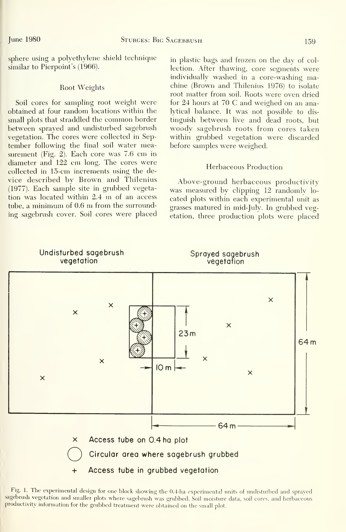sphere using a polyethylene shield technique similar to Pierpoint's (1966).

## Root Weights

Soil cores for sampling root weight were obtained at four random locations within the small plots that straddled the common border between sprayed and undisturbed sagebrush vegetation. The cores were collected in September following the final soil water measurement (Fig. 2). Each core was 7.6 cm in diameter and 122 cm long. The cores were collected in 15-cm increments using the de vice described by Brown and Thilenius (1977). Each sample site in grubbed vegetation was located within  $2.4 \text{ m}$  of an access tube, <sup>a</sup> minimum of 0.6 m from the surrounding sagebrush cover. Soil cores were placed in plastic bags and frozen on the day of collection. After thawing, core segments were individually washed in a core-washing machine (Brown and Thilenius 1976) to isolate root matter from soil. Roots were oven dried for 24 hours at 70 C and weighed on an analytical balance. It was not possible to dis tinguish between live and dead roots, but woody sagebrush roots from cores taken within grubbed vegetation were discarded before samples were weighed.

## Herbaceous Production

Above-ground herbaceous productivity was measured by clipping 12 randomly lo cated plots within each experimental unit as grasses matured in mid-July. In grubbed vegetation, three production plots were placed



Fig. 1. The experimental design for one block showing the 0.4-ha experimental units of undisturbed and sprayed sagebrush vegetation and smaller plots where sagebrush was grubbed. Soil moisture data, soil cores, and herbaceous productivity information for the grubbed treatment were obtained on the small plot.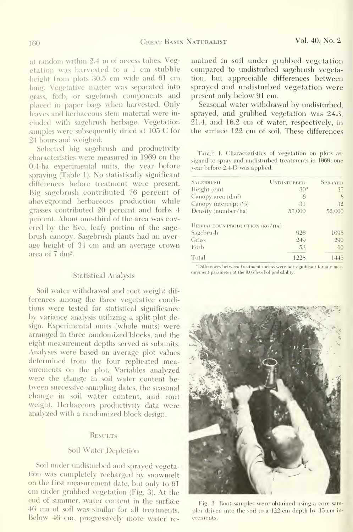at random within 2.4 m of access tubes. Vegetation was harvested to <sup>a</sup> <sup>1</sup> cm stubble height from plots 30.5 cm wide and <sup>61</sup> cm long. Vegetative matter was separated into grass, forb, or sagebnish components and placed in paper bags when harvested. Only leaves and herbaceous stem material were in cluded with sagebnish herbage. Vegetation samples were subsequently dried at 105 C for 24 hours and weighed.

Selected big sagebrush and productivity characteristics were measvired in 1969 on the 0.4-ha experimental units, the year before spraying (Table 1). No statistically significant differences before treatment were present. Big sagebrush contributed 76 percent of aboveground herbaceous production while grasses contributed 20 percent and forbs 4 percent. About one-third of the area was covered by the live, leafy portion of the sage brush canopy. Sagebrush plants had an average height of 34 cm and an average crown area of 7 dm<sup>2</sup>.

## Statistical Analysis

Soil water withdrawal and root weight dif ferences among the three vegetative conditions were tested for statistical significance by variance analysis utilizing a split-plot design. Experimental units (whole units) were arranged in three randomized 'blocks, and the eight measurement depths served as subunits. Analyses were based on average plot values determined from the four replicated measurements on the plot. Variables analyzed were the change in soil water content between successive sampling dates, the seasonal change in soil water content, and root weight. Herbaceous productivity data were analyzed with a randomized block design.

## **RESULTS**

## Soil Water Depletion

Soil under undisturbed and sprayed vegetation was completely recharged by snowmelt on the first measurement date, but only to 61 cm under grubbed vegetation (Fig. 3). At the end of summer, water content in the surface 46 cm of soil was similar for all treatments. pler driven into the soil to a 122-cm depth by 15-cm in-Below 46 cm, progressively more water re-

mained in soil under grubbed vegetation compared to undisturbed sagebnish vegetation, but appreciable differences between sprayed and undisturbed vegetation were present only below 91 cm.

Seasonal water withdrawal by undisturbed, sprayed, and grubbed vegetation was 24.3, 21.4, and 16.2 cm of water, respectively, in the surface 122 cm of soil. These differences

TABLE 1. Characteristics of vegetation on plots assigned to sprav and undisturbed treatments in 1969, one vear before 2,4-D was applied.

| <b>SAGEBRUSH</b>                       | <b>UNDISTURBED</b> | <b>SPRAYED</b> |
|----------------------------------------|--------------------|----------------|
| Height (cm)                            | $30^{\circ}$       | 37             |
| Canopy area (dm <sup>2</sup> )         | 6                  | 8              |
| Canopy intercept $($ <sup>0</sup> $6)$ | 31                 | 32             |
| Density (number/ha)                    | 57,000             | 52,000         |
| HERBACEOUS PRODUCTION (KG/HA)          |                    |                |
| Sagebrush                              | 926                | 1095           |
| Grass                                  | 249                | 290            |
| Forb                                   | 53                 | 60             |
| Total                                  | 1228               | 1445           |

\*Differences between treatment means were not significant for any measurement parameter at the 0.05 level of probability.



Fig. 2. Root samples were obtained using a core samcrements.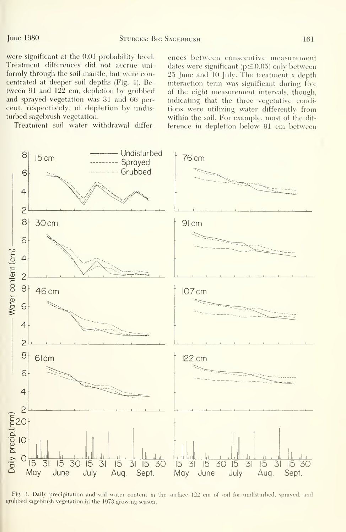were significant at the 0.01 probability level. Treatment differences did not accrue uni formly through the soil mantle, but were concentrated at deeper soil depths (Fig. 4). Be tween 91 and 122 cm, depletion by grubbed and sprayed vegetation was 31 and 66 per cent, respectively, of depletion by undisturbed sagebrush vegetation.

Treatment soil water withdrawal differ-

ences between consecutive measurement dates were significant ( $p \leq 0.05$ ) only between 25 June and 10 July. The treatment <sup>x</sup> depth interaction term was significant during five of the eight measurement intervals, though, indicating that the three vegetative conditions were utilizing water differently from within the soil. For example, most of the dif ference in depletion below 91 cm between



Fig. 3. Daily precipitation and soil water content in the surface 122 cm of soil for undisturbed, sprayed, and grubbed sagebrush vegetation in the 1973 growing season.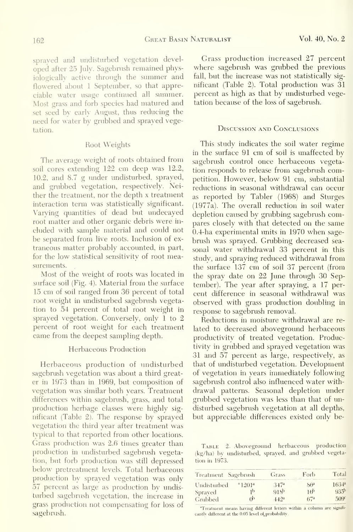sprayed and undisturbed vegetation devel oped after 25 July. Sagebrush remained physiologically active through the summer and flowered about <sup>1</sup> September, so that appreciable water usage continued all summer. Most grass and forb species had matured and set seed by early August, thus reducing the need for water by grubbed and sprayed vegetation.

## Root Weights

The average weight of roots obtained from soil cores extending 122 cm deep was 12.2, 10.2, and 8.7 g under undisturbed, sprayed, and grubbed vegetation, respectively. Neither the treatment, nor the depth x treatment interaction term was statistically significant. Varying quantities of dead but undecayed root matter and other organic debris were in cluded with sample material and could not be separated from live roots. Inclusion of ex traneous matter probably accounted, in part, for the low statistical sensitivity of root measurements.

Most of the weight of roots was located in surface soil (Fig. 4). Material from the surface 15 cm of soil ranged from 36 percent of total root weight in undisturbed sagebrush vegetation to 54 percent of total root weight in sprayed vegetation. Conversely, only <sup>1</sup> to 2 percent of root weight for each treatment came from the deepest sampling depth.

## Herbaceous Production

Herbaceous production of undisturbed sagebrush vegetation was about a third greater in 1973 than in 1969, but composition of vegetation was similar both years. Treatment differences within sagebrush, grass, and total production herbage classes were highly sig nificant (Table 2). The response by sprayed vegetation the third year after treatment was typical to that reported from other locations. Grass production was 2.6 times greater than production in imdisturbed sagebmsh vegetation, but forb production was still depressed below pretreatment levels. Total herbaceous production by sprayed vegetation was only 57 percent as large as production by undisturbed sagebrush vegetation, the increase in grass production not compensating for loss of sagebrush.

Grass production increased 27 percent where sagebrush was grubbed the previous fall, but the increase was not statistically sig nificant (Table 2). Total production was 31 percent as high as that by undisturbed vegetation because of the loss of sagebrush.

## Discussion and Conclusions

This study indicates the soil water regime in the surface 91 cm of soil is unaffected by sagebrush control once herbaceous vegetation responds to release from sagebrush competition. However, below 91 cm, substantial reductions in seasonal withdrawal can occur as reported by Tabler (1968) and Sturges (1977a). The overall reduction in soil water depletion caused by grubbing sagebrush compares closely with that detected on the same 0.4-ha experimental units in 1970 when sage brush was sprayed. Grubbing decreased seasonal water withdrawal 33 percent in this study, and spraying reduced withdrawal from the surface 137 cm of soil 37 percent (from the spray date on 22 June through 30 September). The year after spraying, a 17 per cent difference in seasonal withdrawal was observed with grass production doubling in response to sagebrush removal.

Reductions in moisture withdrawal are re lated to decreased aboveground herbaceous productivity of treated vegetation. Productivity in grubbed and sprayed vegetation was 31 and 57 percent as large, respectively, as that of undisturbed vegetation. Development of vegetation in years immediately following sagebrush control also influenced water withdrawal patterns. Seasonal depletion under grubbed vegetation was less than that of undisturbed sagebrush vegetation at all depths, but appreciable differences existed only be-

TABLE 2. Aboveground herbaceous production (kg/ha) by undisturbed, sprayed, and grubbed vegetation in 1973.

| Treatment Sagebrush |                        | Grass            | Forb            | Total            |
|---------------------|------------------------|------------------|-----------------|------------------|
| Undisturbed         | $^{\circ}1201^{\circ}$ | .347a            | $Sf^a$          | $1634^a$         |
| Sprayed             | 1þ                     | 918 <sup>b</sup> | ıф              | 935 <sup>b</sup> |
| Grubbed             | ൻ                      | 44.2a            | 67 <sup>a</sup> | 5099             |

"Treatment means having different letters within a column are significantly different at the 0.05 level of probability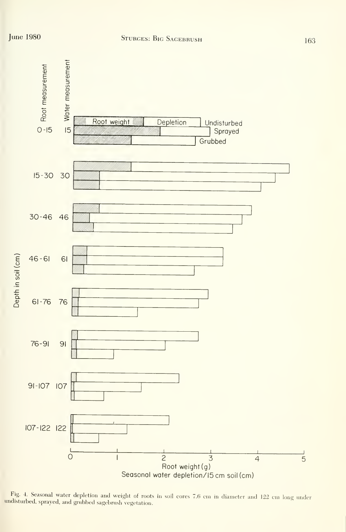

Fig. 4. Seasonal water depletion and weight of roots in soil cores 7.6 cm in diameter and 122 cm long under undisturbed, sprayed, and grubbed sagebrush vegetation.